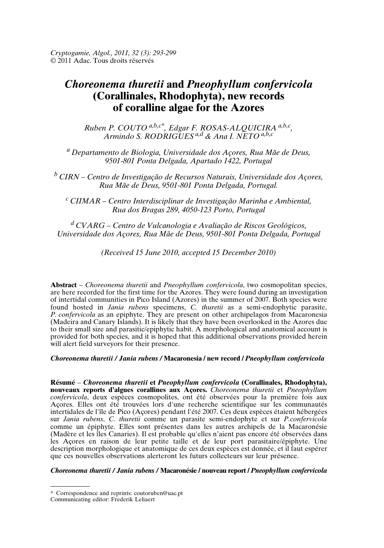# *Choreonema thuretii* **and** *Pneophyllum confervicola* **(Corallinales, Rhodophyta), new records of coralline algae for the Azores**

*Ruben P. COUTO a,b,c\*, Edgar F. ROSAS-ALQUICIRA a,b,c , Armindo S. RODRIGUESa,d & Ana I. NETO a,b,c*

*<sup>a</sup> Departamento de Biologia, Universidade dos Açores, Rua Mãe de Deus, 9501-801 Ponta Delgada, Apartado 1422, Portugal*

*<sup>b</sup> CIRN – Centro de Investigação de Recursos Naturais, Universidade dos Açores, Rua Mãe de Deus, 9501-801 Ponta Delgada, Portugal.*

*<sup>c</sup> CIIMAR – Centro Interdisciplinar de Investigação Marinha e Ambiental, Rua dos Bragas 289, 4050-123 Porto, Portugal*

*<sup>d</sup> CVARG – Centro de Vulcanologia e Avaliação de Riscos Geológicos, Universidade dos Açores, Rua Mãe de Deus, 9501-801 Ponta Delgada, Portugal*

*(Received 15 June 2010, accepted 15 December 2010)*

**Abstract** – *Choreonema thuretii* and *Pneophyllum confervicola*, two cosmopolitan species, are here recorded for the first time for the Azores. They were found during an investigation of intertidal communities in Pico Island (Azores) in the summer of 2007. Both species were found hosted in *Jania rubens* specimens, *C. thuretii* as a semi-endophytic parasite, *P. confervicola* as an epiphyte. They are present on other archipelagos from Macaronesia (Madeira and Canary Islands). It is likely that they have been overlooked in the Azores due to their small size and parasitic/epiphytic habit. A morphological and anatomical account is provided for both species, and it is hoped that this additional observations provided herein will alert field surveyors for their presence.

# *Choreonema thuretii / Jania rubens /* **Macaronesia / new record /** *Pneophyllum confervicola*

**Résumé** – *Choreonema thuretii* **et** *Pneophyllum confervicola* **(Corallinales, Rhodophyta), nouveaux reports d'algues corallines aux Açores.** *Choreonema thuretii* et *Pneophyllum confervicola*, deux espèces cosmopolites, ont été observées pour la première fois aux Açores. Elles ont été trouvées lors d'une recherche scientifique sur les communautés intertidales de l'île de Pico (Açores) pendant l'été 2007. Ces deux espèces étaient hébergées sur *Jania rubens*, *C. thuretii* comme un parasite semi-endophyte et sur *P.confervicola* comme un épiphyte. Elles sont présentes dans les autres archipels de la Macaronésie (Madère et les îles Canaries). Il est probable qu'elles n'aient pas encore été observées dans les Açores en raison de leur petite taille et de leur port parasitaire/épiphyte. Une description morphologique et anatomique de ces deux espèces est donnée, et il faut espérer que ces nouvelles observations alerteront les futurs collecteurs sur leur présence.

#### *Choreonema thuretii / Jania rubens /* **Macaronésie / nouveau report /** *Pneophyllum confervicola*

<sup>\*</sup> Correspondence and reprints: coutoruben@uac.pt

Communicating editor: Frederik Leliaert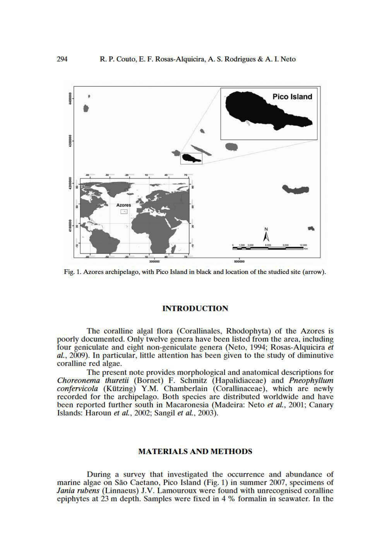

Fig. 1. Azores archipelago, with Pico Island in black and location of the studied site (arrow).

# **INTRODUCTION**

The coralline algal flora (Corallinales, Rhodophyta) of the Azores is poorly documented. Only twelve genera have been listed from the area, including four geniculate and eight non-geniculate genera (Neto, 1994; Rosas-Alquicira et al., 2009). In particular, little attention has been given to the study of diminutive coralline red algae.

The present note provides morphological and anatomical descriptions for Choreonema thuretii (Bornet) F. Schmitz (Hapalidiaceae) and Pneophyllum confervicola (Kützing) Y.M. Chamberlain (Corallinaceae), which are newly recorded for the archipelago. Both species are distributed worldwide and have been reported further south in Macaronesia (Madeira: Neto et al., 2001; Canary Islands: Haroun et al., 2002; Sangil et al., 2003).

#### **MATERIALS AND METHODS**

During a survey that investigated the occurrence and abundance of marine algae on São Caetano, Pico Island (Fig. 1) in summer 2007, specimens of *Jania rubens* (Linnaeus) J.V. Lamouroux were found with unrecognised coralline epiphytes at 23 m depth. Samples were fixed in 4 % formalin in seawater. In the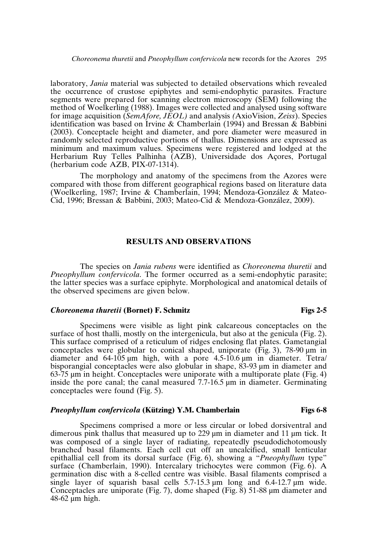laboratory, *Jania* material was subjected to detailed observations which revealed the occurrence of crustose epiphytes and semi-endophytic parasites. Fracture segments were prepared for scanning electron microscopy (SEM) following the method of Woelkerling (1988). Images were collected and analysed using software for image acquisition (*SemAfore, JEOL)* and analysis *(*AxioVision, *Zeiss*). Species identification was based on Irvine & Chamberlain (1994) and Bressan & Babbini (2003). Conceptacle height and diameter, and pore diameter were measured in randomly selected reproductive portions of thallus. Dimensions are expressed as minimum and maximum values. Specimens were registered and lodged at the Herbarium Ruy Telles Palhinha (AZB), Universidade dos Açores, Portugal (herbarium code AZB, PIX-07-1314).

The morphology and anatomy of the specimens from the Azores were compared with those from different geographical regions based on literature data (Woelkerling, 1987; Irvine & Chamberlain, 1994; Mendoza-González & Mateo-Cid, 1996; Bressan & Babbini, 2003; Mateo-Cid & Mendoza-González, 2009).

#### **RESULTS AND OBSERVATIONS**

The species on *Jania rubens* were identified as *Choreonema thuretii* and *Pneophyllum confervicola*. The former occurred as a semi-endophytic parasite; the latter species was a surface epiphyte. Morphological and anatomical details of the observed specimens are given below.

## *Choreonema thuretii* **(Bornet) F. Schmitz Figs 2-5**

Specimens were visible as light pink calcareous conceptacles on the surface of host thalli, mostly on the intergenicula, but also at the genicula (Fig. 2). This surface comprised of a reticulum of ridges enclosing flat plates. Gametangial conceptacles were globular to conical shaped, uniporate ( $\hat{Fig. 3}$ ), 78-90  $\mu$ m in diameter and 64-105 µm high, with a pore 4.5-10.6 µm in diameter. Tetra/ bisporangial conceptacles were also globular in shape, 83-93 µm in diameter and 63-75 µm in height. Conceptacles were uniporate with a multiporate plate (Fig. 4) inside the pore canal; the canal measured 7.7-16.5 µm in diameter. Germinating conceptacles were found (Fig. 5).

#### *Pneophyllum confervicola* **(Kützing) Y.M. Chamberlain Figs 6-8**

Specimens comprised a more or less circular or lobed dorsiventral and dimerous pink thallus that measured up to 229 µm in diameter and 11 µm tick. It was composed of a single layer of radiating, repeatedly pseudodichotomously branched basal filaments. Each cell cut off an uncalcified, small lenticular epithallial cell from its dorsal surface (Fig. 6), showing a "*Pneophyllum* type" surface (Chamberlain, 1990). Intercalary trichocytes were common (Fig. 6). A germination disc with a 8-celled centre was visible. Basal filaments comprised a single layer of squarish basal cells  $5.7-15.3 \mu m$  long and  $6.4-12.7 \mu m$  wide. Conceptacles are uniporate (Fig. 7), dome shaped (Fig. 8) 51-88 µm diameter and 48-62 µm high.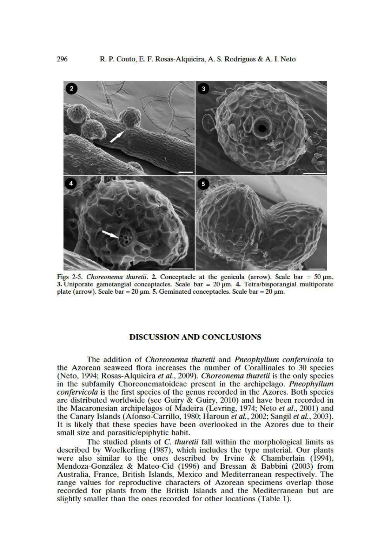

Figs 2-5. Choreonema thuretii. 2. Conceptacle at the genicula (arrow). Scale bar =  $50 \mu m$ . 3. Uniporate gametangial conceptacles. Scale bar =  $20 \mu m$ . 4. Tetra/bisporangial multiporate plate (arrow). Scale bar = 20  $\mu$ m. 5. Geminated conceptacles. Scale bar = 20  $\mu$ m.

#### **DISCUSSION AND CONCLUSIONS**

The addition of *Choreonema thuretii* and *Pneophyllum confervicola* to the Azorean seaweed flora increases the number of Corallinales to 30 species (Neto, 1994; Rosas-Alquicira et al., 2009). Choreonema thuretii is the only species in the subfamily Choreonematoideae present in the archipelago. Pneophyllum *confervicola* is the first species of the genus recorded in the Azores. Both species are distributed worldwide (see Guiry & Guiry, 2010) and have been recorded in the Macaronesian archipelagos of Madeira (Levring, 1974; Neto et al., 2001) and the Canary Islands (Afonso-Carrillo, 1980; Haroun et al., 2002; Sangil et al., 2003). It is likely that these species have been overlooked in the Azores due to their small size and parasitic/epiphytic habit.

The studied plants of  $C$ . thuretii fall within the morphological limits as described by Woelkerling (1987), which includes the type material. Our plants were also similar to the ones described by Irvine & Chamberlain (1994), Mendoza-González & Mateo-Cid (1996) and Bressan & Babbini (2003) from Australia, France, British Islands, Mexico and Mediterranean respectively. The range values for reproductive characters of Azorean specimens overlap those recorded for plants from the British Islands and the Mediterranean but are slightly smaller than the ones recorded for other locations (Table 1).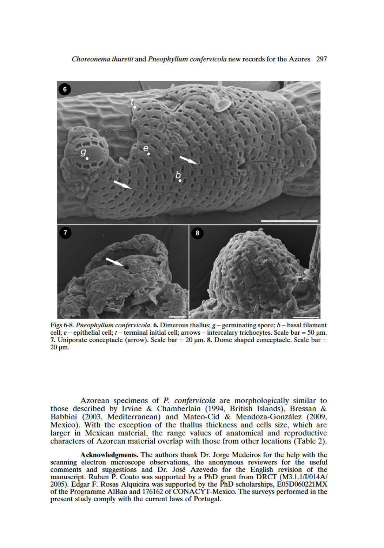

Figs 6-8. Pneophyllum confervicola. 6. Dimerous thallus; g - germinating spore; b - basal filament cell; e – epithelial cell; t – terminal initial cell; arrows – intercalary trichocytes. Scale bar = 50  $\mu$ m. 7. Uniporate conceptacle (arrow). Scale bar =  $20 \mu m$ . 8. Dome shaped conceptacle. Scale bar =  $20 \mu m$ .

Azorean specimens of P. confervicola are morphologically similar to those described by Irvine & Chamberlain (1994, British Islands), Bressan & Babbini (2003, Mediterranean) and Mateo-Cid & Mendoza-González (2009, Mexico). With the exception of the thallus thickness and cells size, which are larger in Mexican material, the range values of anatomical and reproductive characters of Azorean material overlap with those from other locations (Table 2).

Acknowledgments. The authors thank Dr. Jorge Medeiros for the help with the scanning electron microscope observations, the anonymous reviewers for the useful comments and suggestions and Dr. José Azevedo for the English revision of the manuscript. Ruben P. Couto was supported by a PhD grant from DRCT (M3.1.1/I/014A/ 2005). Edgar F. Rosas Alquicira was supported by the PhD scholarships, E05D060221MX of the Programme AlBan and 176162 of CONACYT-Mexico. The surveys performed in the present study comply with the current laws of Portugal.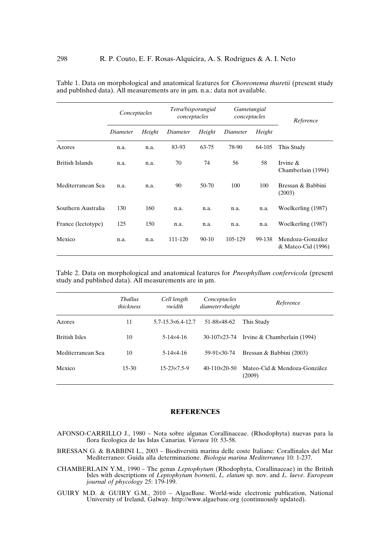|                        | Conceptacles |        | Tetra/bisporangial<br>conceptacles |           | Gametangial<br>conceptacles |        | Reference                              |
|------------------------|--------------|--------|------------------------------------|-----------|-----------------------------|--------|----------------------------------------|
|                        | Diameter     | Height | Diameter                           | Height    | Height<br>Diameter          |        |                                        |
| Azores                 | n.a.         | n.a.   | 83-93                              | 63-75     | 78-90                       | 64-105 | This Study                             |
| <b>British Islands</b> | n.a.         | n.a.   | 70                                 | 74        | 56                          | 58     | Irvine $\&$<br>Chamberlain (1994)      |
| Mediterranean Sea      | n.a.         | n.a.   | 90                                 | 50-70     | 100                         | 100    | Bressan & Babbini<br>(2003)            |
| Southern Australia     | 130          | 160    | n.a.                               | n.a.      | n.a.                        | n.a.   | Woelkerling (1987)                     |
| France (lectotype)     | 125          | 150    | n.a.                               | n.a.      | n.a.                        | n.a.   | Woelkerling (1987)                     |
| Mexico                 | n.a.         | n.a.   | 111-120                            | $90 - 10$ | 105-129                     | 99-138 | Mendoza-González<br>& Mateo-Cid (1996) |

Table 1. Data on morphological and anatomical features for *Choreonema thuretii* (present study and published data). All measurements are in  $\mu$ m. n.a.: data not available.

Table 2. Data on morphological and anatomical features for *Pneophyllum confervicola* (present study and published data). All measurements are in  $\mu$ m.

|                      | <b>Thallus</b><br>thickness | Cell length<br>xwidth          | Conceptacles<br>diameter×height | Reference                              |
|----------------------|-----------------------------|--------------------------------|---------------------------------|----------------------------------------|
| Azores               | 11                          | $5.7 - 15.3 \times 6.4 - 12.7$ | 51-88×48-62                     | This Study                             |
| <b>British Isles</b> | 10                          | $5-14\times4-16$               | $30-107\times23-74$             | Irvine & Chamberlain (1994)            |
| Mediterranean Sea    | 10                          | $5-14\times4-16$               | 59-91×30-74                     | Bressan & Babbini (2003)               |
| Mexico               | $15-30$                     | $15 - 23 \times 7.5 - 9$       | $40-110\times20-50$             | Mateo-Cid & Mendoza-González<br>(2009) |

## **REFERENCES**

- AFONSO-CARRILLO J., 1980 Nota sobre algunas Corallinaceae. (Rhodophyta) nuevas para la flora ficologica de las Islas Canarias. *Vieraea* 10: 53-58.
- BRESSAN G. & BABBINI L., 2003 Biodiversità marina delle coste Italiane: Corallinales del Mar Mediterraneo: Guida alla determinazione. *Biologia marina Mediterranea* 10: 1-237.
- CHAMBERLAIN Y.M., 1990 The genus *Leptophytum* (Rhodophyta, Corallinaceae) in the British Isles with descriptions of *Leptophytum bornetii*, *L. elatum* sp. nov. and *L. laeve*. *European journal of phycology* 25: 179-199.
- GUIRY M.D. & GUIRY G.M., 2010 AlgaeBase. World-wide electronic publication, National University of Ireland, Galway. http://www.algaebase.org (continuously updated).